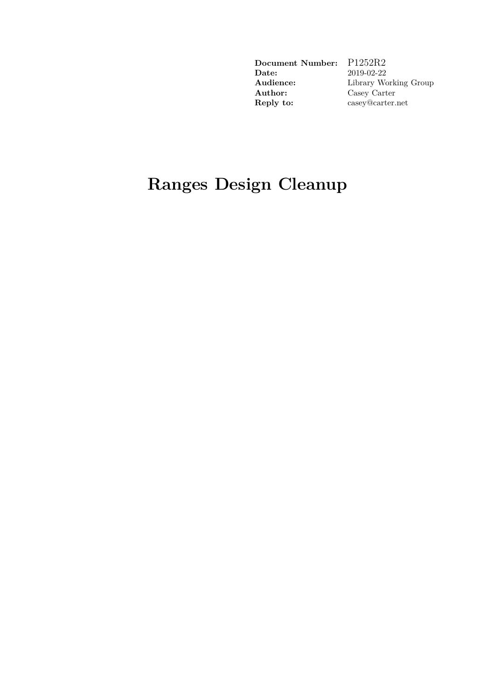**Document Number:** P1252R2<br> **Date:** 2019-02-22 **Audience:** Library Working Group **Author:** Casey Carter **Reply to:** casey@carter.net

**Date:** 2019-02-22

# **Ranges Design Cleanup**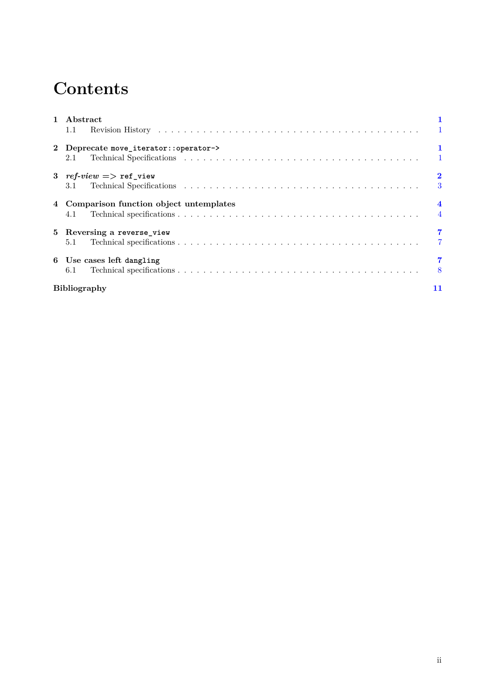# **Contents**

|                    | 1 Abstract<br>1.1                                    |                                  |  |
|--------------------|------------------------------------------------------|----------------------------------|--|
|                    | 2 Deprecate move_iterator::operator-><br>2.1         | $\mathbf{1}$                     |  |
|                    | 3 $ref\text{-}view \implies \text{ref\_view}$<br>3.1 | $\bf{2}$<br>3                    |  |
|                    | 4 Comparison function object untemplates<br>4.1      | $\overline{4}$<br>$\overline{4}$ |  |
|                    | 5 Reversing a reverse_view<br>5.1                    |                                  |  |
|                    | 6 Use cases left dangling<br>6.1                     | 8                                |  |
| Bibliography<br>11 |                                                      |                                  |  |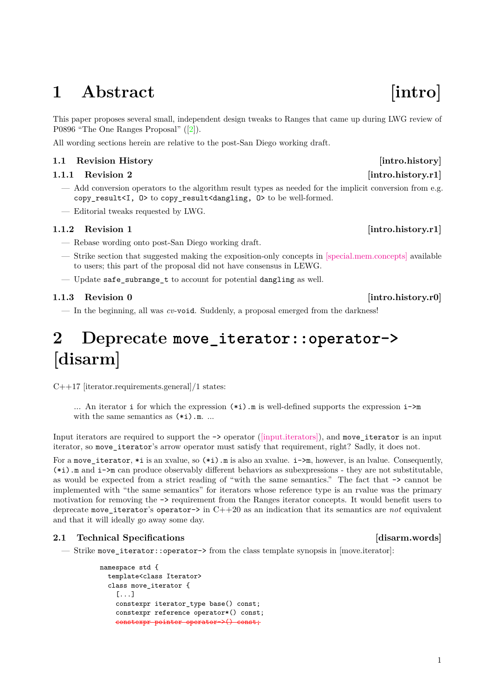# <span id="page-2-0"></span>**1 Abstract [intro]**

This paper proposes several small, independent design tweaks to Ranges that came up during LWG review of P0896 "The One Ranges Proposal" ([\[2\]](#page-12-1)).

All wording sections herein are relative to the post-San Diego working draft.

## <span id="page-2-1"></span>**1.1 Revision History [intro.history]**

### **1.1.1 Revision 2** [intro.history.r1]

- Add conversion operators to the algorithm result types as needed for the implicit conversion from e.g. copy\_result<I, O> to copy\_result<dangling, O> to be well-formed.
- Editorial tweaks requested by LWG.

### **1.1.2** Revision 1 *intro.history.r1*

- Rebase wording onto post-San Diego working draft.
- Strike section that suggested making the exposition-only concepts in [\[special.mem.concepts\]](https://wg21.link/special.mem.concepts) available to users; this part of the proposal did not have consensus in LEWG.
- Update safe subrange t to account for potential dangling as well.

### **1.1.3** Revision 0 *intro.history.r0*

<span id="page-2-2"></span>— In the beginning, all was *cv*-void. Suddenly, a proposal emerged from the darkness!

# **2 Deprecate move\_iterator::operator-> [disarm]**

C++17 [iterator.requirements.general]/1 states:

... An iterator i for which the expression  $(*i)$ .m is well-defined supports the expression  $i$ ->m with the same semantics as  $(*i)$ .m. ...

Input iterators are required to support the -> operator [\(\[input.iterators\]\)](https://wg21.link/input.iterators), and move\_iterator is an input iterator, so move\_iterator's arrow operator must satisfy that requirement, right? Sadly, it does not.

For a move\_iterator,  $*$ i is an xvalue, so  $(*i)$ .m is also an xvalue.  $i$ ->m, however, is an lvalue. Consequently, (\*i).m and i->m can produce observably different behaviors as subexpressions - they are not substitutable, as would be expected from a strict reading of "with the same semantics." The fact that -> cannot be implemented with "the same semantics" for iterators whose reference type is an rvalue was the primary motivation for removing the -> requirement from the Ranges iterator concepts. It would benefit users to deprecate move iterator's operator- $>$  in  $C++20$  as an indication that its semantics are *not* equivalent and that it will ideally go away some day.

### <span id="page-2-3"></span>**2.1 Technical Specifications and the set of the set of the set of the set of the set of the set of the set of the set of the set of the set of the set of the set of the set of the set of the set of the set of the set of**

— Strike move iterator::operator-> from the class template synopsis in [move.iterator]:

namespace std { template<class Iterator> class move\_iterator {  $[1, 1]$ constexpr iterator\_type base() const; constexpr reference operator\*() const; constexpr pointer operator->() const;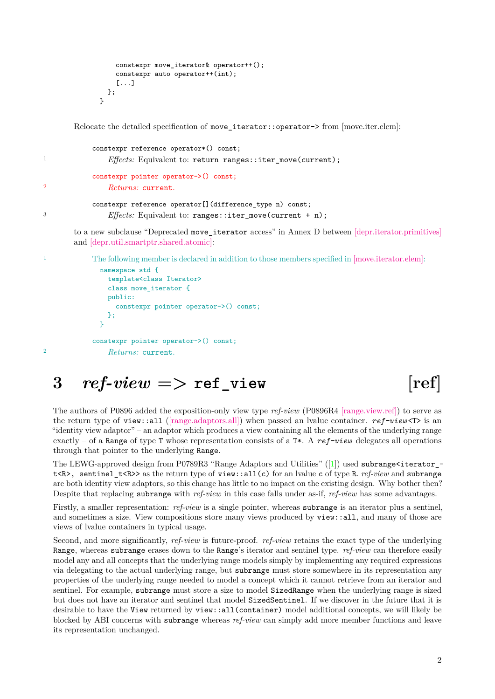```
constexpr move_iterator& operator++();
                constexpr auto operator++(int);
                [...]
              };
            }
    — Relocate the detailed specification of move_iterator::operator-> from [move.iter.elem]:
           constexpr reference operator*() const;
<sup>1</sup> Effects: Equivalent to: return ranges:: iter move(current);
           constexpr pointer operator->() const;
2 Returns: current.
           constexpr reference operator[](difference_type n) const;
3 Effects: Equivalent to: ranges::iter_move(current + n);
       [depr.iterator.primitives]
       and [depr.util.smartptr.shared.atomic]:
1 The following member is declared in addition to those members specified in [move.iterator.elem]:
            namespace std {
              template<class Iterator>
              class move_iterator {
              public:
                constexpr pointer operator->() const;
```

```
constexpr pointer operator->() const;
2 Returns: current.
```
}; }

## <span id="page-3-0"></span>3  $ref\text{-}view = > ref\text{-}view$   $[ref]$

The authors of P0896 added the exposition-only view type *ref-view* (P0896R4 [\[range.view.ref\]\)](https://wg21.link/range.view.ref) to serve as the return type of view::all [\(\[range.adaptors.all\]\)](https://wg21.link/range.adaptors.all) when passed an lvalue container. *ref-view* <T> is an "identity view adaptor" – an adaptor which produces a view containing all the elements of the underlying range exactly – of a Range of type T whose representation consists of a T\*. A *ref-view* delegates all operations through that pointer to the underlying Range.

The LEWG-approved design from P0789R3 "Range Adaptors and Utilities" ([\[1\]](#page-12-0)) used subrange<iterator\_t<R>, sentinel\_t<R>> as the return type of view::all(c) for an lvalue c of type R. *ref-view* and subrange are both identity view adaptors, so this change has little to no impact on the existing design. Why bother then? Despite that replacing subrange with *ref-view* in this case falls under as-if, *ref-view* has some advantages.

Firstly, a smaller representation: *ref-view* is a single pointer, whereas subrange is an iterator plus a sentinel, and sometimes a size. View compositions store many views produced by  $view:ial1$ , and many of those are views of lvalue containers in typical usage.

Second, and more significantly, *ref-view* is future-proof. *ref-view* retains the exact type of the underlying Range, whereas subrange erases down to the Range's iterator and sentinel type. *ref-view* can therefore easily model any and all concepts that the underlying range models simply by implementing any required expressions via delegating to the actual underlying range, but subrange must store somewhere in its representation any properties of the underlying range needed to model a concept which it cannot retrieve from an iterator and sentinel. For example, subrange must store a size to model SizedRange when the underlying range is sized but does not have an iterator and sentinel that model SizedSentinel. If we discover in the future that it is desirable to have the View returned by view::all(container) model additional concepts, we will likely be blocked by ABI concerns with subrange whereas *ref-view* can simply add more member functions and leave its representation unchanged.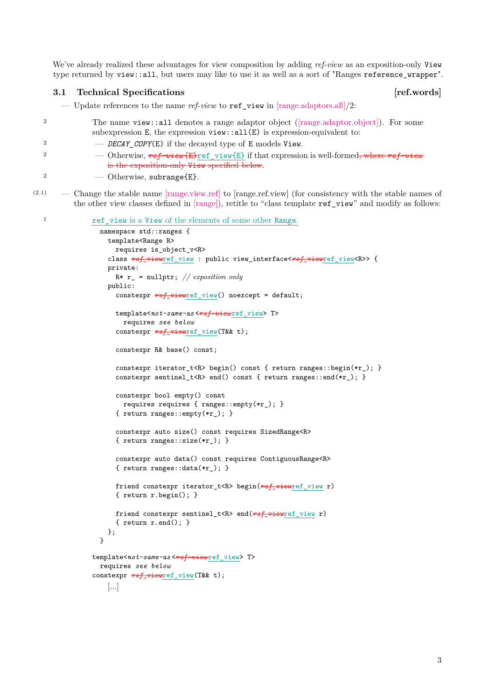We've already realized these advantages for view composition by adding *ref-view* as an exposition-only View type returned by view::all, but users may like to use it as well as a sort of "Ranges reference\_wrapper".

### <span id="page-4-0"></span>**3.1 Technical Specifications [189] 12.1 Technical Specifications** [ref.words]

```
— Update references to the name ref-view to ref_view in [range.adaptors.all]/2:
```

```
2 The name view::all denotes a range adaptor object ([range.adaptor.object]). For some
            subexpression E, the expression view::all(E) is expression-equivalent to:
<sup>2</sup> - DECAY COPY(E) if the decayed type of E models View.
```

```
<sup>2</sup> \qquad Otherwise, ref-view(E) ref-view (E) if that expression is well-formed<del>, where ref-view</del>
                   is the exposition-only View specified below.
```
2  $-$  Otherwise, subrange $\{E\}.$ 

(2.1) — Change the stable name [\[range.view.ref\]](https://wg21.link/range.view.ref) to [range.ref.view] (for consistency with the stable names of the other view classes defined in [\[range\]\)](https://wg21.link/range), retitle to "class template ref\_view" and modify as follows:

```
1 ref view is a View of the elements of some other Range.
              namespace std::ranges {
                template<Range R>
                  requires is_object_v<R>
                class ref_viewref_view : public view_interface<ref_viewref_view<R>> {
                private:
                  R* r_ = nullptr; // exposition only
                public:
                  constexpr ref_viewref_view() noexcept = default;
                  template<not-same-as <ref-view ref_view> T>
                    requires see below
                  constexpr ref\_viewref\_view(T& k t);constexpr R& base() const;
                  constexpr iterator_t<R> begin() const { return ranges::begin(*r_); }
                  constexpr sentinel_t<R> end() const { return ranges::end(*r_); }
                  constexpr bool empty() const
                    requires requires { ranges::empty(*r_); }
                  { return ranges::empty(*r_); }
                  constexpr auto size() const requires SizedRange<R>
                  { return ranges::size(*r_); }
                  constexpr auto data() const requires ContiguousRange<R>
                  { return ranges::data(*r_); }
                  friend constexpr iterator_t<R> begin(ref_viewref_view r)
                  { return r.begin(); }
                  friend constexpr sentinel_t<R> end(ref_viewref_view r)
                  { return r.end(); }
                };
              }
            template<not-same-as<ref-viewref_view> T>
              requires see below
            constexpr ref\_view(f \& t);
                [...]
```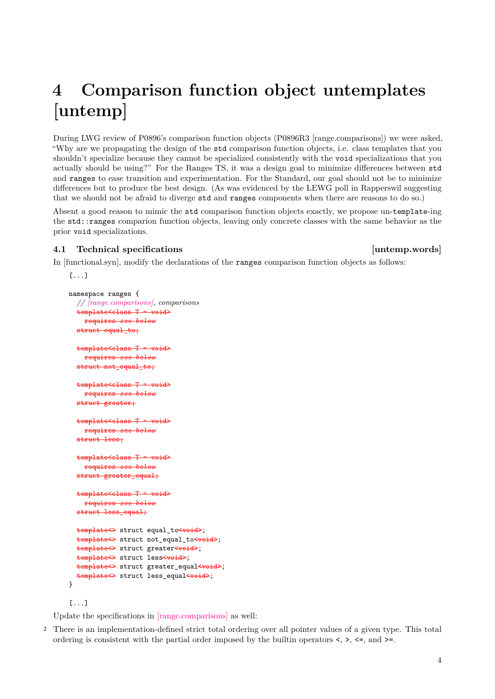# <span id="page-5-0"></span>**4 Comparison function object untemplates [untemp]**

During LWG review of P0896's comparison function objects (P0896R3 [range.comparisons]) we were asked, "Why are we propagating the design of the std comparison function objects, i.e. class templates that you shouldn't specialize because they cannot be specialized consistently with the void specializations that you actually should be using?" For the Ranges TS, it was a design goal to minimize differences between std and ranges to ease transition and experimentation. For the Standard, our goal should not be to minimize differences but to produce the best design. (As was evidenced by the LEWG poll in Rapperswil suggesting that we should not be afraid to diverge std and ranges components when there are reasons to do so.)

Absent a good reason to mimic the std comparison function objects exactly, we propose un-template-ing the std::ranges comparion function objects, leaving only concrete classes with the same behavior as the prior void specializations.

### <span id="page-5-1"></span>**4.1 Technical specifications**  *untemp.words*

In [functional.syn], modify the declarations of the ranges comparison function objects as follows:

```
[...]
namespace ranges {
  // [range.comparisons], comparisons
  template<class T = void>
    requires see below
  struct equal_to;
  template<class T = void>
    requires see below
  struct not_equal_to;
  template<class T = void>
    requires see below
  struct greater;
  template<class T = void>
    requires see below
  struct less;
   emplate\leq class T = void\geqrequires see below
  struct greater_equal;
  template<class T = void>
    requires see below
  struct less_equal;
  template<> struct equal_to<void>;
  template<> struct not_equal_to<void>;
  template<>>
struct greater<void>;
  template<> struct less<void>;
  template<> struct greater_equal<void>;
  template<> struct less_equal<<del>void></del>;
}
[...]
```
Update the specifications in [\[range.comparisons\]](https://wg21.link/range.comparisons) as well:

<sup>2</sup> There is an implementation-defined strict total ordering over all pointer values of a given type. This total ordering is consistent with the partial order imposed by the builtin operators  $\langle, \rangle, \langle =, \text{ and } \rangle =$ .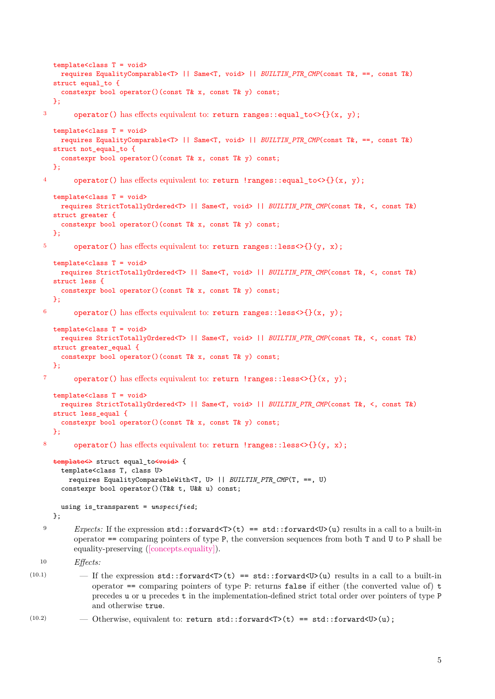```
template<class T = void>
        requires EqualityComparable<T> || Same<T, void> || BUILTIN_PTR_CMP(const T&, ==, const T&)
      struct equal_to {
        constexpr bool operator()(const T& x, const T& y) const;
      \mathcal{L}:
   3 operator() has effects equivalent to: return ranges: : equal \text{to}<>{}{\}(x, y);template<class T = void>
        requires EqualityComparable<T> || Same<T, void> || BUILTIN_PTR_CMP(const T&, ==, const T&)
      struct not_equal_to {
        constexpr bool operator()(const T& x, const T& y) const;
      };
   4 operator() has effects equivalent to: return !ranges::equal_to\langle\}(x, y);
      template<class T = void>
       requires StrictTotallyOrdered<T> || Same<T, void> || BUILTIN_PTR_CMP(const T&, <, const T&)
      struct greater {
        constexpr bool operator()(const T& x, const T& y) const;
      };
   5 operator() has effects equivalent to: return ranges::less\langle \}(y, x);
      template < class T = voidrequires StrictTotallyOrdered<T> || Same<T, void> || BUILTIN_PTR_CMP(const T&, <, const T&)
      struct less {
        constexpr bool operator()(const T& x, const T& y) const;
      };
   6 operator() has effects equivalent to: return ranges:: less <> { } (x, y);
      template<class T = void>
        requires StrictTotallyOrdered<T> || Same<T, void> || BUILTIN_PTR_CMP(const T&, <, const T&)
      struct greater_equal {
        constexpr bool operator()(const T& x, const T& y) const;
      };
   7 operator() has effects equivalent to: return !ranges:: less \{ \} (x, y);
      template<class T = void>
        requires StrictTotallyOrdered<T> || Same<T, void> || BUILTIN_PTR_CMP(const T&, <, const T&)
      struct less_equal {
        constexpr bool operator()(const T& x, const T& y) const;
      };
   8 operator() has effects equivalent to: return !ranges::less\leftrightarrow{}(y, x);
      template<> struct equal to<void> {
        template<class T, class U>
          requires EqualityComparableWith<T, U> || BUILTIN_PTR_CMP(T, ==, U)
        constexpr bool operator()(T&& t, U&& u) const;
        using is_transparent = unspecified;
      };
   <sup>9</sup> Expects: If the expression std::forward\mathcal{T}>(t) == std::forward\mathcal{U}>(u) results in a call to a built-in
           operator == comparing pointers of type P, the conversion sequences from both T and U to P shall be
           equality-preserving ([concepts.equality]).
  10 Effects:
(10.1) - If the expression std::forward<T>(t) == std::forward<U>(u) results in a call to a built-in
                operator == comparing pointers of type P: returns false if either (the converted value of) t
```

```
precedes u or u precedes t in the implementation-defined strict total order over pointers of type P
and otherwise true.
```

```
(10.2) \qquad \qquad - Otherwise, equivalent to: return std::forward<T>(t) == std::forward<U>(u);
```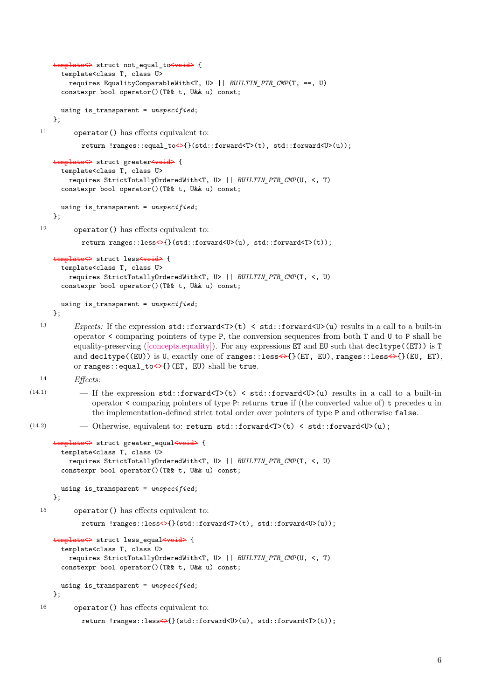```
template<> struct not_equal_to<void> {
        template<class T, class U>
         requires EqualityComparableWith<T, U> || BUILTIN_PTR_CMP(T, ==, U)
        constexpr bool operator()(T&& t, U&& u) const;
       using is_transparent = unspecified;
      };
  11 operator() has effects equivalent to:
             return !ranges::equal_to<>{}(std::forward<T>(t), std::forward<U>(u));
      template<>>
struct greater<void>
{
        template<class T, class U>
         requires StrictTotallyOrderedWith<T, U> || BUILTIN_PTR_CMP(U, <, T)
       constexpr bool operator()(T&& t, U&& u) const;
       using is_transparent = unspecified;
      };
  12 operator() has effects equivalent to:
             return ranges::less<>{}(std::forward<U>(u), std::forward<T>(t));
      template<> struct less<void> {
        template<class T, class U>
         requires StrictTotallyOrderedWith<T, U> || BUILTIN_PTR_CMP(T, <, U)
        constexpr bool operator()(T&& t, U&& u) const;
        using is_transparent = unspecified;
      };
  13 Expects: If the expression std::forward<T>(t) < std::forward<U>(u) results in a call to a built-in
           operator < comparing pointers of type P, the conversion sequences from both T and U to P shall be
           ([concepts.equality]). For any expressions ET and EU such that decltype((ET)) is T
           and decltype((EU)) is U, exactly one of ranges::less\leftrightarrow{}(ET, EU), ranges::less\leftrightarrow{}(EU, ET),
           or ranges::equal_to<>{}(ET, EU) shall be true.
  14 Effects:
(14.1) – If the expression std::forward<T>(t) < std::forward<U>(u) results in a call to a built-in
                operator < comparing pointers of type P: returns true if (the converted value of) t precedes u in
                the implementation-defined strict total order over pointers of type P and otherwise false.
(14.2) \qquad - Otherwise, equivalent to: return std::forward<T>(t) < std::forward<U>(u);
      template<> struct greater equal<void> {
        template<class T, class U>
         requires StrictTotallyOrderedWith<T, U> || BUILTIN_PTR_CMP(T, <, U)
        constexpr bool operator()(T&& t, U&& u) const;
        using is_transparent = unspecified;
      };
  15 operator() has effects equivalent to:
             return !ranges::less<>{}(std::forward<T>(t), std::forward<U>(u));
      template<> struct less_equal<void> {
        template<class T, class U>
         requires StrictTotallyOrderedWith<T, U> || BUILTIN_PTR_CMP(U, <, T)
        constexpr bool operator()(T&& t, U&& u) const;
       using is_transparent = unspecified;
      };
  16 operator() has effects equivalent to:
             return !ranges::less<>{}(std::forward<U>(u), std::forward<T>(t));
```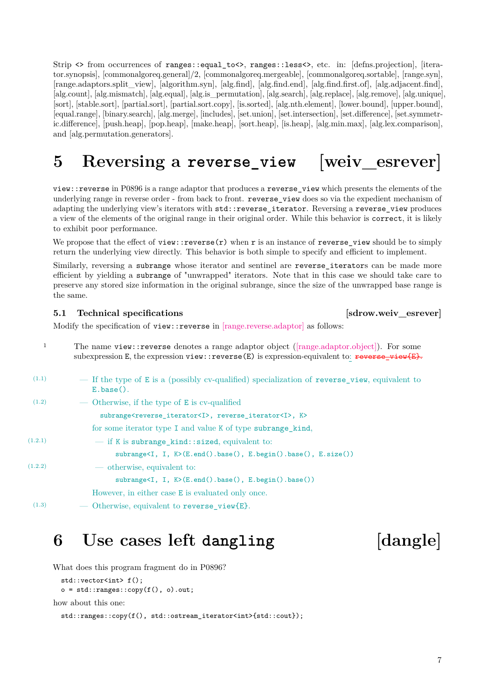Strip <> from occurrences of ranges::equal\_to<>, ranges::less<>, etc. in: [defns.projection], [iterator.synopsis], [commonalgoreq.general]/2, [commonalgoreq.mergeable], [commonalgoreq.sortable], [range.syn], [range.adaptors.split\_view], [algorithm.syn], [alg.find], [alg.find.end], [alg.find.first.of], [alg.adjacent.find], [alg.count], [alg.mismatch], [alg.equal], [alg.is\_permutation], [alg.search], [alg.replace], [alg.remove], [alg.unique], [sort], [stable.sort], [partial.sort], [partial.sort.copy], [is.sorted], [alg.nth.element], [lower.bound], [upper.bound], [equal.range], [binary.search], [alg.merge], [includes], [set.union], [set.intersection], [set.difference], [set.symmetric.difference], [push.heap], [pop.heap], [make.heap], [sort.heap], [is.heap], [alg.min.max], [alg.lex.comparison], and [alg.permutation.generators].

<span id="page-8-0"></span>**5 Reversing a reverse\_view [weiv\_esrever]**

view::reverse in P0896 is a range adaptor that produces a reverse\_view which presents the elements of the underlying range in reverse order - from back to front. reverse\_view does so via the expedient mechanism of adapting the underlying view's iterators with  $std::reverse\_iterator$ . Reversing a reverse\_view produces a view of the elements of the original range in their original order. While this behavior is correct, it is likely to exhibit poor performance.

We propose that the effect of view::reverse(r) when r is an instance of reverse view should be to simply return the underlying view directly. This behavior is both simple to specify and efficient to implement.

Similarly, reversing a subrange whose iterator and sentinel are reverse\_iterators can be made more efficient by yielding a subrange of "unwrapped" iterators. Note that in this case we should take care to preserve any stored size information in the original subrange, since the size of the unwrapped base range is the same.

### <span id="page-8-1"></span>**5.1 Technical specifications**  [sdrow.weivesrever]

Modify the specification of view::reverse in  $[\text{range}:\text{reverse}:\text{adaptor}]$  as follows:

| $\mathbf{1}$ | The name view: reverse denotes a range adaptor object ([range.adaptor.object]). For some<br>subexpression E, the expression $view::reverse(E)$ is expression-equivalent to: $reverse\_view(E)$ . |
|--------------|--------------------------------------------------------------------------------------------------------------------------------------------------------------------------------------------------|
| (1.1)        | - If the type of E is a (possibly cv-qualified) specialization of reverse_view, equivalent to<br>$E.\text{base}()$ .                                                                             |
| (1.2)        | — Otherwise, if the type of E is cv-qualified                                                                                                                                                    |
|              | subrange <reverse_iterator<i>, reverse_iterator<i>, K&gt;</i></reverse_iterator<i>                                                                                                               |
|              | for some iterator type I and value K of type subrange kind,                                                                                                                                      |
| (1.2.1)      | - if K is subrange_kind::sized, equivalent to:                                                                                                                                                   |
|              | $subrange1, I, K>(E.end().base(), E.begin().base(), E.size())$                                                                                                                                   |
| (1.2.2)      | — otherwise, equivalent to:                                                                                                                                                                      |
|              | subrange <i, i,="" k="">(E.end().base(), E.begin().base())</i,>                                                                                                                                  |
|              | However, in either case E is evaluated only once.                                                                                                                                                |

 $(1.3)$   $\qquad$   $\qquad$  Otherwise, equivalent to reverse view{E}.

## <span id="page-8-2"></span>**6 Use cases left dangling [dangle]**

What does this program fragment do in P0896?

```
std::vector<int> f();
```

```
o = std::ranges::copy(f(), o).out;
```
how about this one:

```
std::ranges::copy(f(), std::ostream_iterator<int>{std::cout});
```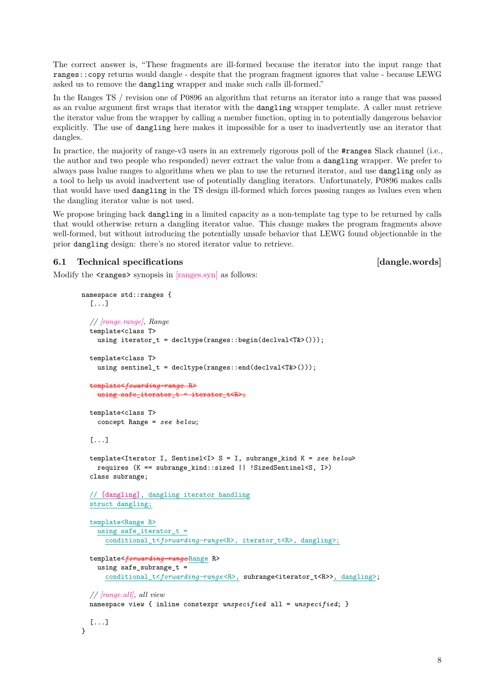The correct answer is, "These fragments are ill-formed because the iterator into the input range that ranges::copy returns would dangle - despite that the program fragment ignores that value - because LEWG asked us to remove the dangling wrapper and make such calls ill-formed."

In the Ranges TS / revision one of P0896 an algorithm that returns an iterator into a range that was passed as an rvalue argument first wraps that iterator with the dangling wrapper template. A caller must retrieve the iterator value from the wrapper by calling a member function, opting in to potentially dangerous behavior explicitly. The use of dangling here makes it impossible for a user to inadvertently use an iterator that dangles.

In practice, the majority of range-v3 users in an extremely rigorous poll of the #ranges Slack channel (i.e., the author and two people who responded) never extract the value from a dangling wrapper. We prefer to always pass lvalue ranges to algorithms when we plan to use the returned iterator, and use dangling only as a tool to help us avoid inadvertent use of potentially dangling iterators. Unfortunately, P0896 makes calls that would have used dangling in the TS design ill-formed which forces passing ranges as lvalues even when the dangling iterator value is not used.

We propose bringing back dangling in a limited capacity as a non-template tag type to be returned by calls that would otherwise return a dangling iterator value. This change makes the program fragments above well-formed, but without introducing the potentially unsafe behavior that LEWG found objectionable in the prior dangling design: there's no stored iterator value to retrieve.

### <span id="page-9-0"></span>**6.1** Technical specifications **in the set of the set of the set of the set of the set of the set of the set of the set of the set of the set of the set of the set of the set of the set of the set of the set of the set of**

Modify the  $\langle \text{ranges} \rangle$  synopsis in  $[\text{ranges.syn}]$  as follows:

```
namespace std::ranges {
  [...]
  // [range.range], Range
  template<class T>
    using iterator_t = decltype(ranges::begin(declval<T&>()));
  template<class T>
    using sentinel_t = decltype(ranges::end(declval<T&>()));
  template<fowarding-range R>
    using safe_iterator_t = iterator_t<R>;
  template<class T>
    concept Range = see below;
  [...]
  template<Iterator I, Sentinel<I> S = I, subrange_kind K = see below>
    requires (K == subrange_kind::sized || !SizedSentinel<S, I>)
  class subrange;
  // [dangling], dangling iterator handling
  struct dangling;
  template<Range R>
    using safe_iterator_t =
      conditional_t<forwarding-range<R>, iterator_t<R>, dangling>;
  template<forwarding-range Range R>
    using safe_subrange_t =
      conditional_t<forwarding-range <R>, subrange<iterator_t<R>>, dangling>;
  // [range.all], all view
 namespace view { inline constexpr unspecified all = unspecified; }
  [...]
}
```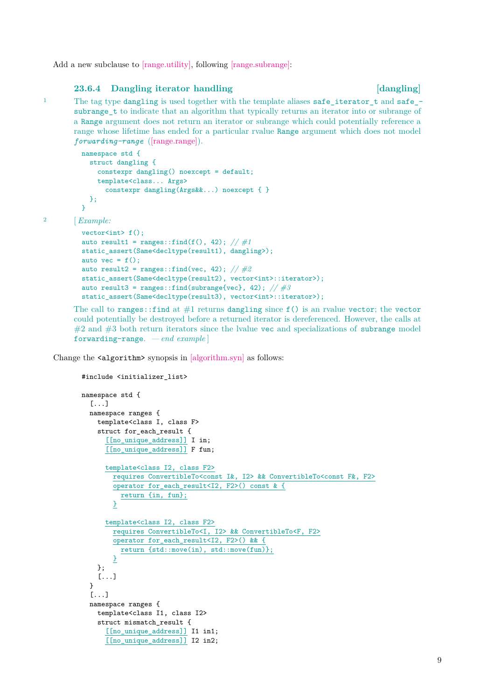Add a new subclause to [\[range.utility\],](https://wg21.link/range.utility) following [\[range.subrange\]:](https://wg21.link/range.subrange)

### **23.6.4** Dangling iterator handling **and influence contained**  $\left[$  dangling

<sup>1</sup> The tag type dangling is used together with the template aliases safe iterator t and safe subrange t to indicate that an algorithm that typically returns an iterator into or subrange of a Range argument does not return an iterator or subrange which could potentially reference a range whose lifetime has ended for a particular rvalue Range argument which does not model *forwarding-range* [\(\[range.range\]\)](https://wg21.link/range.range).

```
namespace std {
  struct dangling {
    constexpr dangling() noexcept = default;
    template<class... Args>
      constexpr dangling(Args&&...) noexcept { }
 \}:
}
```

```
2 [Example:
```

```
vector<int>f();
auto result1 = ranges::find(f(), 42); // #1static_assert(Same<decltype(result1), dangling>);
auto vec = f();
auto result2 = ranges::find(vec, 42); // #2static_assert(Same<decltype(result2), vector<int>::iterator>);
auto result3 = ranges::find(subrange{vec}, 42); // #3
static_assert(Same<decltype(result3), vector<int>::iterator>);
```
The call to ranges::find at  $#1$  returns dangling since  $f()$  is an rvalue vector; the vector could potentially be destroyed before a returned iterator is dereferenced. However, the calls at  $#2$  and  $#3$  both return iterators since the lvalue vec and specializations of subrange model forwarding-range. *— end example* ]

Change the  $\langle$  algorithm> synopsis in [\[algorithm.syn\]](https://wg21.link/algorithm.syn) as follows:

```
#include <initializer_list>
namespace std {
  [\ldots]namespace ranges {
    template<class I, class F>
    struct for_each_result {
      [[no_unique_address]] I in;
      [[no_unique_address]] F fun;
      template<class I2, class F2>
        requires ConvertibleTo<const I&, I2> && ConvertibleTo<const F&, F2>
        operator for_each_result<I2, F2>() const & {
          return {in, fun};
        }
      template<class I2, class F2>
        requires ConvertibleTo<I, I2> && ConvertibleTo<F, F2>
        operator for_each_result<I2, F2>() && {
          return {std::move(in), std::move(fun)};
        }
    };
    [...]
 }
  [...]
 namespace ranges {
   template<class I1, class I2>
    struct mismatch_result {
      [[no_unique_address]] I1 in1;
      [[no_unique_address]] I2 in2;
```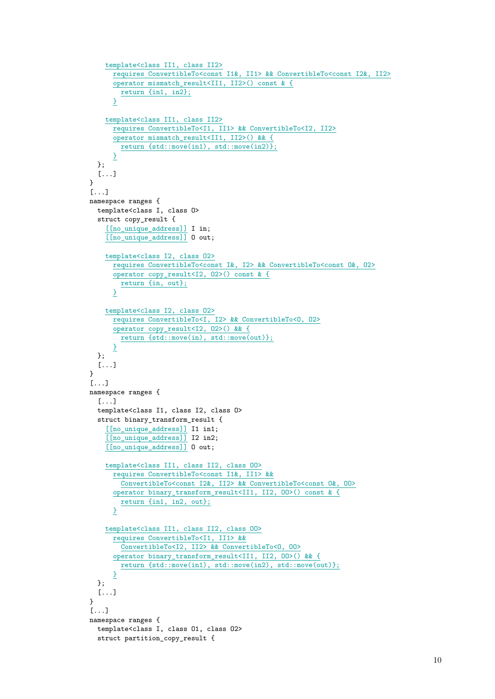```
template<class II1, class II2>
      requires ConvertibleTo<const I1&, II1> && ConvertibleTo<const I2&, II2>
      operator mismatch_result<II1, II2>() const & {
        return {in1, in2};
      }
    template<class II1, class II2>
      requires ConvertibleTo<I1, II1> && ConvertibleTo<I2, II2>
      operator mismatch_result<II1, II2>() && {
        return {std::move(in1), std::move(in2)};
      }
  };
  [...]
}
[...]
namespace ranges {
  template<class I, class O>
  struct copy_result {
    [[no_unique_address]] I in;
    [[no_unique_address]] 0 out;
    template<class I2, class O2>
      requires ConvertibleTo<const I&, I2> && ConvertibleTo<const O&, O2>
      operator copy_result<I2, O2>() const & {
        return {in, out};
      }
    template<class I2, class O2>
      requires ConvertibleTo<I, I2> && ConvertibleTo<O, O2>
      operator copy_result<I2, O2>() && {
        return {std::move(in), std::move(out)};
      }
  };
  [...]
}
[...]
namespace ranges {
  [...]
  template<class I1, class I2, class O>
  struct binary_transform_result {
    [[no_unique_address]] I1 in1;
    [[no_unique_address]] I2 in2;
    [[no_unique_address]] O out;
    template<class II1, class II2, class OO>
      requires ConvertibleTo<const I1&, II1> &&
        ConvertibleTo<const I2&, II2> && ConvertibleTo<const O&, OO>
      operator binary_transform_result<II1, II2, OO>() const & {
        return {in1, in2, out};
      }
    template<class II1, class II2, class OO>
      requires ConvertibleTo<I1, II1> &&
        ConvertibleTo<I2, II2> && ConvertibleTo<O, OO>
      operator binary_transform_result<II1, II2, OO>() && {
        return {std::move(in1), std::move(in2), std::move(out)};
      }
  };
  [...]
}
[...]
namespace ranges {
  template<class I, class O1, class O2>
  struct partition_copy_result {
```